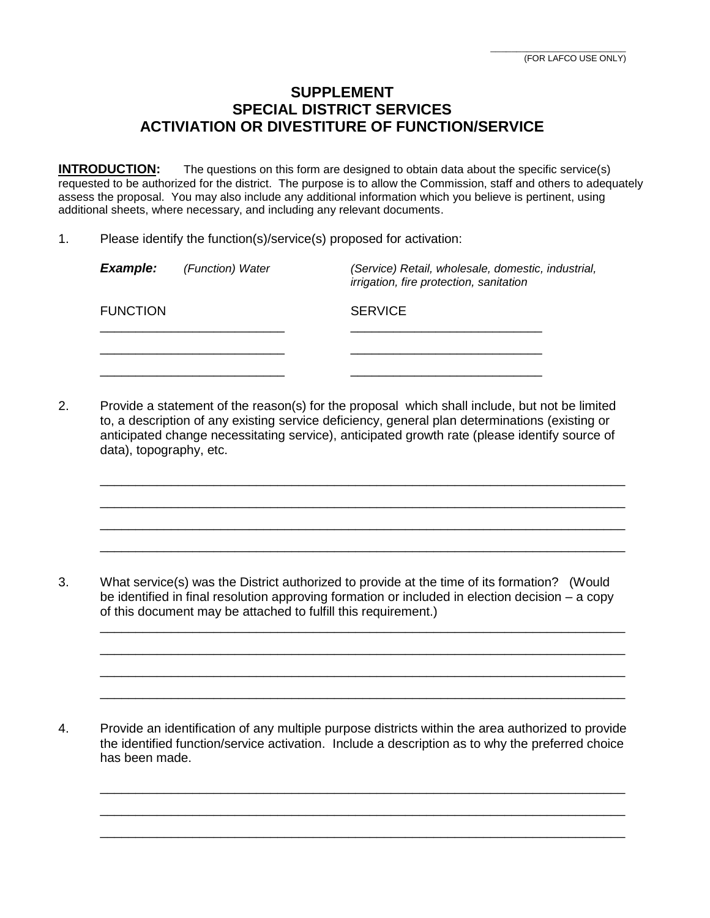## **SUPPLEMENT SPECIAL DISTRICT SERVICES ACTIVIATION OR DIVESTITURE OF FUNCTION/SERVICE**

**INTRODUCTION:** The questions on this form are designed to obtain data about the specific service(s) requested to be authorized for the district. The purpose is to allow the Commission, staff and others to adequately assess the proposal. You may also include any additional information which you believe is pertinent, using additional sheets, where necessary, and including any relevant documents.

1. Please identify the function(s)/service(s) proposed for activation:

| <b>Example:</b> | (Function) Water | (Service) Retail, wholesale, domestic, industrial,<br>irrigation, fire protection, sanitation |
|-----------------|------------------|-----------------------------------------------------------------------------------------------|
| <b>FUNCTION</b> |                  | <b>SERVICE</b>                                                                                |
|                 |                  |                                                                                               |
|                 |                  |                                                                                               |

2. Provide a statement of the reason(s) for the proposal which shall include, but not be limited to, a description of any existing service deficiency, general plan determinations (existing or anticipated change necessitating service), anticipated growth rate (please identify source of data), topography, etc.

\_\_\_\_\_\_\_\_\_\_\_\_\_\_\_\_\_\_\_\_\_\_\_\_\_\_\_\_\_\_\_\_\_\_\_\_\_\_\_\_\_\_\_\_\_\_\_\_\_\_\_\_\_\_\_\_\_\_\_\_\_\_\_\_\_\_\_\_\_\_\_\_\_\_ \_\_\_\_\_\_\_\_\_\_\_\_\_\_\_\_\_\_\_\_\_\_\_\_\_\_\_\_\_\_\_\_\_\_\_\_\_\_\_\_\_\_\_\_\_\_\_\_\_\_\_\_\_\_\_\_\_\_\_\_\_\_\_\_\_\_\_\_\_\_\_\_\_\_ \_\_\_\_\_\_\_\_\_\_\_\_\_\_\_\_\_\_\_\_\_\_\_\_\_\_\_\_\_\_\_\_\_\_\_\_\_\_\_\_\_\_\_\_\_\_\_\_\_\_\_\_\_\_\_\_\_\_\_\_\_\_\_\_\_\_\_\_\_\_\_\_\_\_ \_\_\_\_\_\_\_\_\_\_\_\_\_\_\_\_\_\_\_\_\_\_\_\_\_\_\_\_\_\_\_\_\_\_\_\_\_\_\_\_\_\_\_\_\_\_\_\_\_\_\_\_\_\_\_\_\_\_\_\_\_\_\_\_\_\_\_\_\_\_\_\_\_\_

3. What service(s) was the District authorized to provide at the time of its formation? (Would be identified in final resolution approving formation or included in election decision – a copy of this document may be attached to fulfill this requirement.)

\_\_\_\_\_\_\_\_\_\_\_\_\_\_\_\_\_\_\_\_\_\_\_\_\_\_\_\_\_\_\_\_\_\_\_\_\_\_\_\_\_\_\_\_\_\_\_\_\_\_\_\_\_\_\_\_\_\_\_\_\_\_\_\_\_\_\_\_\_\_\_\_\_\_ \_\_\_\_\_\_\_\_\_\_\_\_\_\_\_\_\_\_\_\_\_\_\_\_\_\_\_\_\_\_\_\_\_\_\_\_\_\_\_\_\_\_\_\_\_\_\_\_\_\_\_\_\_\_\_\_\_\_\_\_\_\_\_\_\_\_\_\_\_\_\_\_\_\_ \_\_\_\_\_\_\_\_\_\_\_\_\_\_\_\_\_\_\_\_\_\_\_\_\_\_\_\_\_\_\_\_\_\_\_\_\_\_\_\_\_\_\_\_\_\_\_\_\_\_\_\_\_\_\_\_\_\_\_\_\_\_\_\_\_\_\_\_\_\_\_\_\_\_ \_\_\_\_\_\_\_\_\_\_\_\_\_\_\_\_\_\_\_\_\_\_\_\_\_\_\_\_\_\_\_\_\_\_\_\_\_\_\_\_\_\_\_\_\_\_\_\_\_\_\_\_\_\_\_\_\_\_\_\_\_\_\_\_\_\_\_\_\_\_\_\_\_\_

4. Provide an identification of any multiple purpose districts within the area authorized to provide the identified function/service activation. Include a description as to why the preferred choice has been made.

\_\_\_\_\_\_\_\_\_\_\_\_\_\_\_\_\_\_\_\_\_\_\_\_\_\_\_\_\_\_\_\_\_\_\_\_\_\_\_\_\_\_\_\_\_\_\_\_\_\_\_\_\_\_\_\_\_\_\_\_\_\_\_\_\_\_\_\_\_\_\_\_\_\_ \_\_\_\_\_\_\_\_\_\_\_\_\_\_\_\_\_\_\_\_\_\_\_\_\_\_\_\_\_\_\_\_\_\_\_\_\_\_\_\_\_\_\_\_\_\_\_\_\_\_\_\_\_\_\_\_\_\_\_\_\_\_\_\_\_\_\_\_\_\_\_\_\_\_ \_\_\_\_\_\_\_\_\_\_\_\_\_\_\_\_\_\_\_\_\_\_\_\_\_\_\_\_\_\_\_\_\_\_\_\_\_\_\_\_\_\_\_\_\_\_\_\_\_\_\_\_\_\_\_\_\_\_\_\_\_\_\_\_\_\_\_\_\_\_\_\_\_\_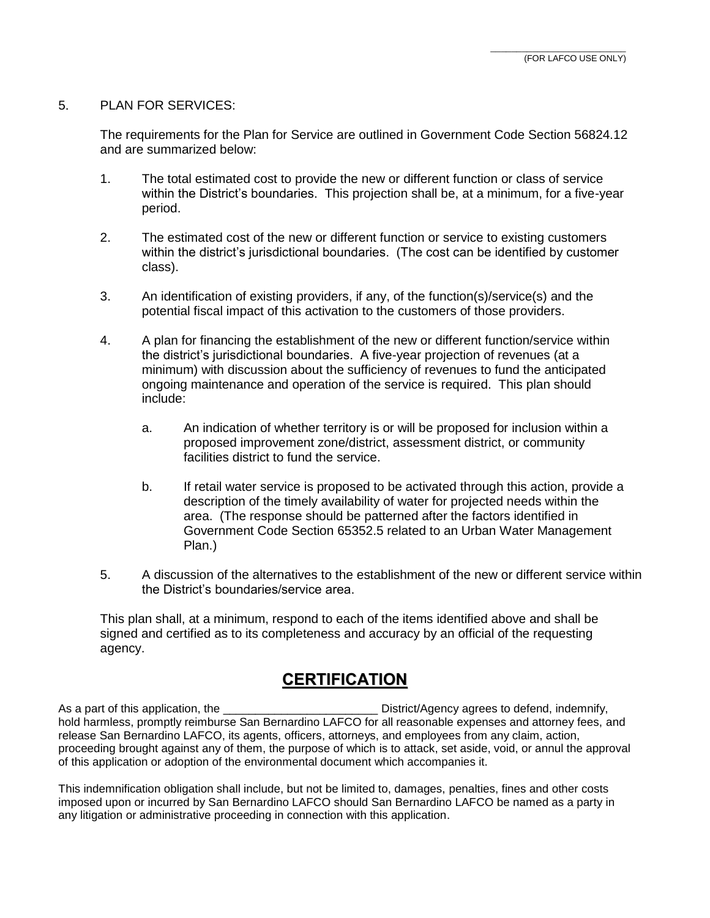## 5. PLAN FOR SERVICES:

The requirements for the Plan for Service are outlined in Government Code Section 56824.12 and are summarized below:

- 1. The total estimated cost to provide the new or different function or class of service within the District's boundaries. This projection shall be, at a minimum, for a five-year period.
- 2. The estimated cost of the new or different function or service to existing customers within the district's jurisdictional boundaries. (The cost can be identified by customer class).
- 3. An identification of existing providers, if any, of the function(s)/service(s) and the potential fiscal impact of this activation to the customers of those providers.
- 4. A plan for financing the establishment of the new or different function/service within the district's jurisdictional boundaries. A five-year projection of revenues (at a minimum) with discussion about the sufficiency of revenues to fund the anticipated ongoing maintenance and operation of the service is required. This plan should include:
	- a. An indication of whether territory is or will be proposed for inclusion within a proposed improvement zone/district, assessment district, or community facilities district to fund the service.
	- b. If retail water service is proposed to be activated through this action, provide a description of the timely availability of water for projected needs within the area. (The response should be patterned after the factors identified in Government Code Section 65352.5 related to an Urban Water Management Plan.)
- 5. A discussion of the alternatives to the establishment of the new or different service within the District's boundaries/service area.

This plan shall, at a minimum, respond to each of the items identified above and shall be signed and certified as to its completeness and accuracy by an official of the requesting agency.

## **CERTIFICATION**

As a part of this application, the  $\blacksquare$  District/Agency agrees to defend, indemnify, hold harmless, promptly reimburse San Bernardino LAFCO for all reasonable expenses and attorney fees, and release San Bernardino LAFCO, its agents, officers, attorneys, and employees from any claim, action, proceeding brought against any of them, the purpose of which is to attack, set aside, void, or annul the approval of this application or adoption of the environmental document which accompanies it.

This indemnification obligation shall include, but not be limited to, damages, penalties, fines and other costs imposed upon or incurred by San Bernardino LAFCO should San Bernardino LAFCO be named as a party in any litigation or administrative proceeding in connection with this application.